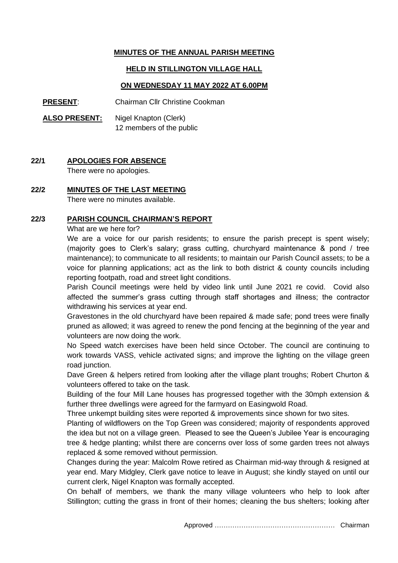## **MINUTES OF THE ANNUAL PARISH MEETING**

### **HELD IN STILLINGTON VILLAGE HALL**

### **ON WEDNESDAY 11 MAY 2022 AT 6.00PM**

**PRESENT**: Chairman Cllr Christine Cookman

**ALSO PRESENT:** Nigel Knapton (Clerk) 12 members of the public

# **22/1 APOLOGIES FOR ABSENCE**

There were no apologies.

### **22/2 MINUTES OF THE LAST MEETING**

There were no minutes available.

#### **22/3 PARISH COUNCIL CHAIRMAN'S REPORT**

What are we here for?

We are a voice for our parish residents; to ensure the parish precept is spent wisely; (majority goes to Clerk's salary; grass cutting, churchyard maintenance & pond / tree maintenance); to communicate to all residents; to maintain our Parish Council assets; to be a voice for planning applications; act as the link to both district & county councils including reporting footpath, road and street light conditions.

Parish Council meetings were held by video link until June 2021 re covid. Covid also affected the summer's grass cutting through staff shortages and illness; the contractor withdrawing his services at year end.

Gravestones in the old churchyard have been repaired & made safe; pond trees were finally pruned as allowed; it was agreed to renew the pond fencing at the beginning of the year and volunteers are now doing the work.

No Speed watch exercises have been held since October. The council are continuing to work towards VASS, vehicle activated signs; and improve the lighting on the village green road junction.

Dave Green & helpers retired from looking after the village plant troughs; Robert Churton & volunteers offered to take on the task.

Building of the four Mill Lane houses has progressed together with the 30mph extension & further three dwellings were agreed for the farmyard on Easingwold Road.

Three unkempt building sites were reported & improvements since shown for two sites.

Planting of wildflowers on the Top Green was considered; majority of respondents approved the idea but not on a village green. Pleased to see the Queen's Jubilee Year is encouraging tree & hedge planting; whilst there are concerns over loss of some garden trees not always replaced & some removed without permission.

Changes during the year: Malcolm Rowe retired as Chairman mid-way through & resigned at year end. Mary Midgley, Clerk gave notice to leave in August; she kindly stayed on until our current clerk, Nigel Knapton was formally accepted.

On behalf of members, we thank the many village volunteers who help to look after Stillington; cutting the grass in front of their homes; cleaning the bus shelters; looking after

Approved ……………………………………………… Chairman